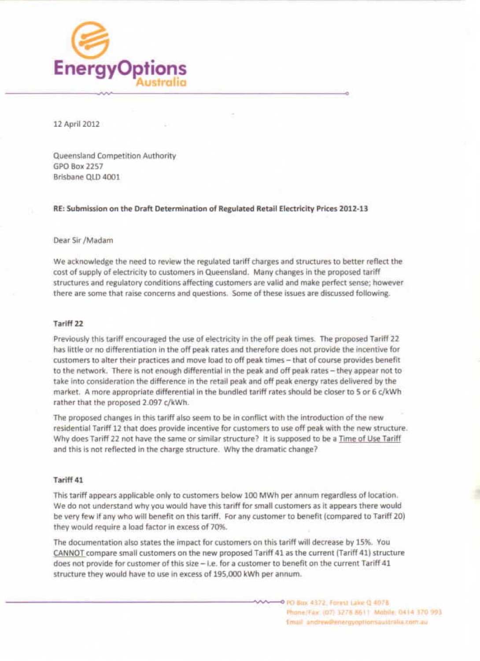

12 April 2012

Queensland Competition Authority GPO Box 2257 Brisbane OLD 4001

RE: Submission on the Draft Determination of Regulated Retail Electricity Prices 2012-13

## Dear Sir /Madam

We acknowledge the need to review the regulated tariff charges and structures to better reflect the cost of supply of electricity to customers in Queensland. Many changes in the proposed tariff structures and regulatory conditions affecting customers are valid and make perfect sense; however there are some that raise concerns and questions. Some of these issues are discussed following.

### Tariff 22

Previously this tariff encouraged the use of electricity in the off peak times. The proposed Tariff 22 has little or no differentiation in the off peak rates and therefore does not provide the incentive for customers to alter their practices and move load to off peak times - that of course provides benefit to the network. There is not enough differential in the peak and off peak rates - they appear not to take into consideration the difference in the retail peak and off peak energy rates delivered by the market. A more appropriate differential in the bundled tariff rates should be closer to 5 or 6 c/kWh rather that the proposed 2.097 c/kWh.

The proposed changes in this tariff also seem to be in conflict with the introduction of the new residential Tariff 12 that does provide incentive for customers to use off peak with the new structure. Why does Tariff 22 not have the same or similar structure? It is supposed to be a Time of Use Tariff and this is not reflected in the charge structure. Why the dramatic change?

# Tariff 41

This tariff appears applicable only to customers below 100 MWh per annum regardless of location. We do not understand why you would have this tariff for small customers as it appears there would be very few if any who will benefit on this tariff. For any customer to benefit (compared to Tariff 20) they would require a load factor in excess of 70%.

The documentation also states the impact for customers on this tariff will decrease by 15%. You CANNOT compare small customers on the new proposed Tariff 41 as the current (Tariff 41) structure does not provide for customer of this size  $-$  i.e. for a customer to benefit on the current Tariff  $41$ structure they would have to use in excess of 195,000 kWh per annum.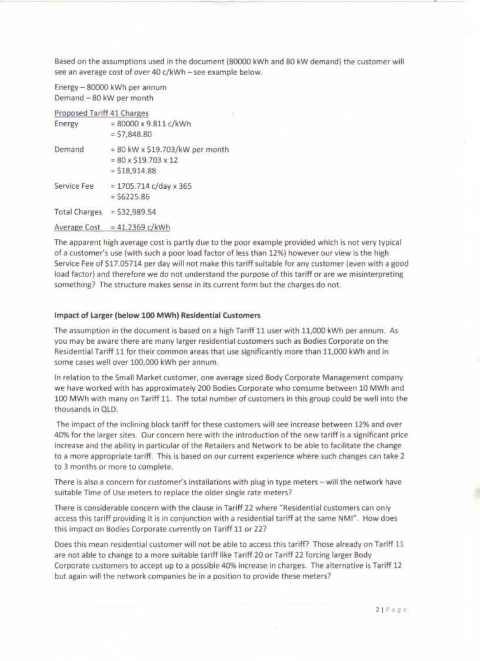Based on the assumptions used in the document (80000 kWh and 80 kW demand) the customer will see an average cost of over 40 c/kWh - see example below.

Energy - 80000 kWh per annum Demand - 80 kW per month

# Proposed Tariff 41 Charges

| Energy      | $= 80000 \times 9.811 c/kWh$<br>$=$ \$7,848.80                                         |
|-------------|----------------------------------------------------------------------------------------|
| Demand      | $= 80$ kW x \$19.703/kW per month<br>$= 80 \times $19.703 \times 12$<br>$= $18,914.88$ |
| Service Fee | $= 1705.714$ c/day x 365<br>$=$ 56225.86                                               |
|             | Total Charges = \$32,989.54                                                            |
|             | Average Cost = $41.2369$ c/kWh                                                         |

The apparent high average cost is partly due to the poor example provided which is not very typical of a customer's use (with such a poor load factor of less than 12%) however our view is the high Service Fee of \$17.05714 per day will not make this tariff suitable for any customer (even with a good load factor) and therefore we do not understand the purpose of this tariff or are we misinterpreting something? The structure makes sense in its current form but the charges do not.

#### Impact of Larger (below 100 MWh) Residential Customers

The assumption in the document is based on a high Tariff 11 user with 11,000 kWh per annum. As you may be aware there are many larger residential customers such as Bodies Corporate on the Residential Tariff 11 for their common areas that use significantly more than 11,000 kWh and in some cases well over 100,000 kWh per annum.

In relation to the Small Market customer, one average sized Body Corporate Management company we have worked with has approximately 200 Bodies Corporate who consume between 10 MWh and 100 MWh with many on Tariff 11. The total number of customers in this group could be well into the thousands in QLD.

The impact of the inclining block tariff for these customers will see increase between 12% and over 40% for the larger sites. Our concern here with the introduction of the new tariff is a significant price increase and the ability in particular of the Retailers and Network to be able to facilitate the change to a more appropriate tariff. This is based on our current experience where such changes can take 2 to 3 months or more to complete.

There is also a concern for customer's installations with plug in type meters - will the network have suitable Time of Use meters to replace the older single rate meters?

There is considerable concern with the clause in Tariff 22 where "Residential customers can only access this tariff providing it is in conjunction with a residential tariff at the same NMI". How does this impact on Bodies Corporate currently on Tariff 11 or 22?

Does this mean residential customer will not be able to access this tariff? Those already on Tariff 11 are not able to change to a more suitable tariff like Tariff 20 or Tariff 22 forcing larger Body Corporate customers to accept up to a possible 40% increase in charges. The alternative is Tariff 12 but again will the network companies be in a position to provide these meters?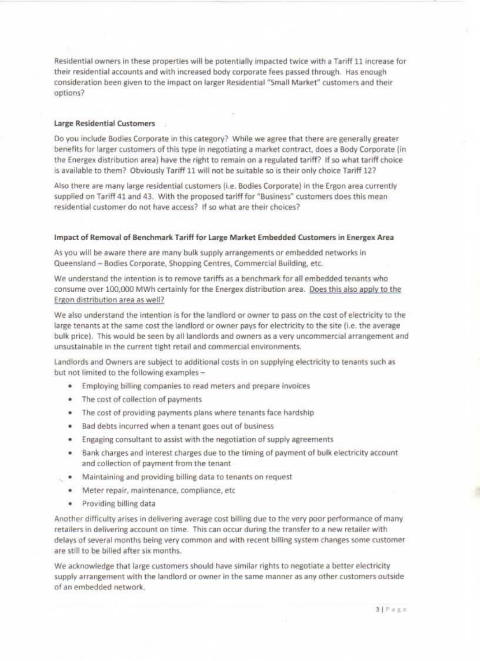Residential owners in these properties will be potentially impacted twice with a Tariff 11 increase for their residential accounts and with increased body corporate fees passed through. Has enough consideration been given to the impact on larger Residential "Small Market" customers and their options?

## Large Residential Customers

Do you include Bodies Corporate in this category? While we agree that there are generally greater benefits for larger customers of this type in negotiating a market contract, does a Body Corporate (in the Energex distribution area) have the right to remain on a regulated tariff? If so what tariff choice is available to them? Obviously Tariff 11 will not be suitable so is their only choice Tariff 12?

Also there are many large residential customers (i.e. Bodies Corporate) in the Ergon area currently supplied on Tariff 41 and 43. With the proposed tariff for "Business" customers does this mean residential customer do not have access? If so what are their choices?

### Impact of Removal of Benchmark Tariff for Large Market Embedded Customers in Energex Area

As you will be aware there are many bulk supply arrangements or embedded networks in Queensland - Bodies Corporate, Shopping Centres, Commercial Building, etc.

We understand the intention is to remove tariffs as a benchmark for all embedded tenants who consume over 100,000 MWh certainly for the Energex distribution area. Does this also apply to the Ergon distribution area as well?

We also understand the intention is for the landlord or owner to pass on the cost of electricity to the large tenants at the same cost the landlord or owner pays for electricity to the site (i.e. the average bulk price). This would be seen by all landlords and owners as a very uncommercial arrangement and unsustainable in the current tight retail and commercial environments.

Landlords and Owners are subject to additional costs in on supplying electricity to tenants such as but not limited to the following examples -

- . Employing billing companies to read meters and prepare invoices
- The cost of collection of payments
- . The cost of providing payments plans where tenants face hardship
- Bad debts incurred when a tenant goes out of business ٠
- Engaging consultant to assist with the negotiation of supply agreements ۰.
- Bank charges and interest charges due to the timing of payment of bulk electricity account ٠ and collection of payment from the tenant
- . Maintaining and providing billing data to tenants on request
- Meter repair, maintenance, compliance, etc. ٠
- ٠ Providing billing data

Another difficulty arises in delivering average cost billing due to the very poor performance of many retailers in delivering account on time. This can occur during the transfer to a new retailer with delays of several months being very common and with recent billing system changes some customer are still to be billed after six months.

We acknowledge that large customers should have similar rights to negotiate a better electricity supply arrangement with the landlord or owner in the same manner as any other customers outside of an embedded network.